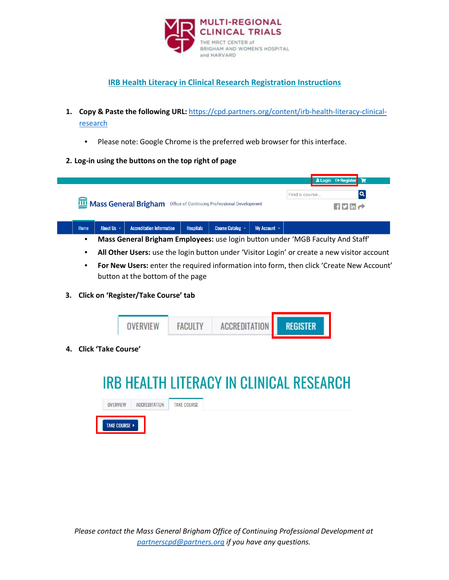

## **IRB Health Literacy in Clinical Research Registration Instructions**

- **1. Copy & Paste the following URL:** [https://cpd.partners.org/content/irb-health-literacy-clinical](https://cpd.partners.org/content/irb-health-literacy-clinical-research)[research](https://cpd.partners.org/content/irb-health-literacy-clinical-research)
	- Please note: Google Chrome is the preferred web browser for this interface.

## **2. Log-in using the buttons on the top right of page**

|                                                                                 |                 |                                                                                |                  |                  |                   |                                                              | <b>Login ← Register</b> |  |
|---------------------------------------------------------------------------------|-----------------|--------------------------------------------------------------------------------|------------------|------------------|-------------------|--------------------------------------------------------------|-------------------------|--|
|                                                                                 |                 |                                                                                |                  |                  |                   | Find a course                                                | Q                       |  |
| <b>WE</b> Mass General Brigham<br>Office of Continuing Professional Development |                 |                                                                                |                  |                  |                   | $\left  \frac{f}{2} \right $ in $\left  \frac{f}{2} \right $ |                         |  |
| <b>Home</b>                                                                     | About Us $\sim$ | <b>Accreditation Information</b>                                               | <b>Hospitals</b> | Course Catalog ~ | My Account $\sim$ |                                                              |                         |  |
|                                                                                 |                 | Mass Conoral Brigham Employees: use login button under 'MCP Eaculty And Staff' |                  |                  |                   |                                                              |                         |  |

- **Mass General Brigham Employees:** use login button under 'MGB Faculty And Staff'
- **All Other Users:** use the login button under 'Visitor Login' or create a new visitor account
- **For New Users:** enter the required information into form, then click 'Create New Account' button at the bottom of the page
- **3. Click on 'Register/Take Course' tab**



**4. Click 'Take Course'**

## **IRB HEALTH LITERACY IN CLINICAL RESEARCH**

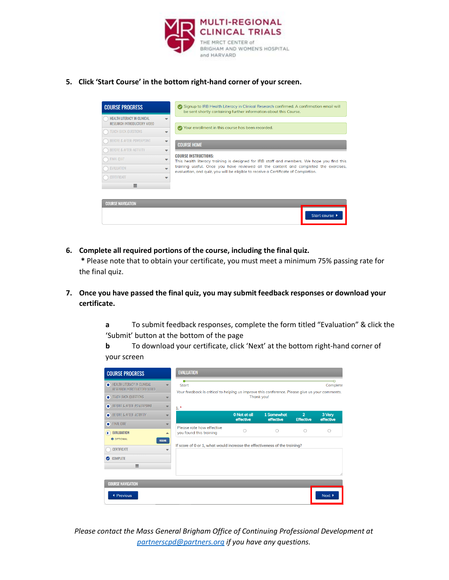

**5. Click 'Start Course' in the bottom right-hand corner of your screen.**

| <b>COURSE PROGRESS</b>                                                   |  | ◯ Signup to IRB Health Literacy in Clinical Research confirmed. A confirmation email will<br>be sent shortly containing further information about this Course.             |  |  |  |  |
|--------------------------------------------------------------------------|--|----------------------------------------------------------------------------------------------------------------------------------------------------------------------------|--|--|--|--|
| <b>HEALTH LITERACY IN CLINICAL</b><br><b>RESEARCH INTRODUCTORY VIDEO</b> |  |                                                                                                                                                                            |  |  |  |  |
| <b>TEACH BACK QUESTIONS</b>                                              |  | Your enrollment in this course has been recorded.                                                                                                                          |  |  |  |  |
| <b>BEFORE &amp; AFTER: POWERPOINT</b>                                    |  | <b>COURSE HOME</b>                                                                                                                                                         |  |  |  |  |
| <b>BEFORE &amp; AFTER: ACTIVITY</b>                                      |  |                                                                                                                                                                            |  |  |  |  |
| FINAL OUIZ                                                               |  | <b>COURSE INSTRUCTIONS:</b><br>This health literacy training is designed for IRB staff and members. We hope you find this                                                  |  |  |  |  |
| <b>EVALUATION</b><br><b>CERTIFICATE</b>                                  |  | training useful. Once you have reviewed all the content and completed the exercises,<br>evaluation, and quiz, you will be eligible to receive a Certificate of Completion. |  |  |  |  |
|                                                                          |  |                                                                                                                                                                            |  |  |  |  |
| Ξ                                                                        |  |                                                                                                                                                                            |  |  |  |  |
|                                                                          |  |                                                                                                                                                                            |  |  |  |  |
| <b>COURSE NAVIGATION</b>                                                 |  |                                                                                                                                                                            |  |  |  |  |
|                                                                          |  | Start course ▶                                                                                                                                                             |  |  |  |  |

**6. Complete all required portions of the course, including the final quiz.**

**\*** Please note that to obtain your certificate, you must meet a minimum 75% passing rate for the final quiz.

- **7. Once you have passed the final quiz, you may submit feedback responses or download your certificate.**
	- **a** To submit feedback responses, complete the form titled "Evaluation" & click the 'Submit' button at the bottom of the page

**b** To download your certificate, click 'Next' at the bottom right-hand corner of your screen

| <b>COURSE PROGRESS</b>                                                                                                  | <b>EVALUATION</b>                                                                                                                                  |                           |                         |                                    |                     |
|-------------------------------------------------------------------------------------------------------------------------|----------------------------------------------------------------------------------------------------------------------------------------------------|---------------------------|-------------------------|------------------------------------|---------------------|
| HEALTH LITERACY IN CLINICAL<br><b>RESEARCH INTRODUCTORY VIDEO</b><br>TEACH BACK QUESTIONS<br>BEFORE & AFTER: POWERPOINT | Complete<br><b>Start</b><br>Your feedback is critical to helping us improve this conference. Please give us your comments.<br>Thank you!<br>$1. *$ |                           |                         |                                    |                     |
| BEFORE & AFTER: ACTIVITY                                                                                                |                                                                                                                                                    | 0 Not at all<br>effective | 1 Somewhat<br>effective | $\overline{2}$<br><b>Effective</b> | 3 Very<br>effective |
| FINAL QUIZ<br><b>EVALUATION</b><br>▴<br><b>O</b> OPTIONAL<br><b>RESUME</b>                                              | Please rate how effective<br>you found this training<br>If score of 0 or 1, what would increase the effectiveness of the training?                 | ∩                         | ∩                       | C                                  | ∩                   |
| <b>CERTIFICATE</b><br>COMPLETE                                                                                          |                                                                                                                                                    |                           |                         |                                    |                     |
| Ξ                                                                                                                       |                                                                                                                                                    |                           |                         |                                    |                     |
| <b>COURSE NAVIGATION</b>                                                                                                |                                                                                                                                                    |                           |                         |                                    |                     |
| <b>◆ Previous</b>                                                                                                       |                                                                                                                                                    |                           |                         |                                    | Next                |

*Please contact the Mass General Brigham Office of Continuing Professional Development at partnerscpd@partners.org if you have any questions.*